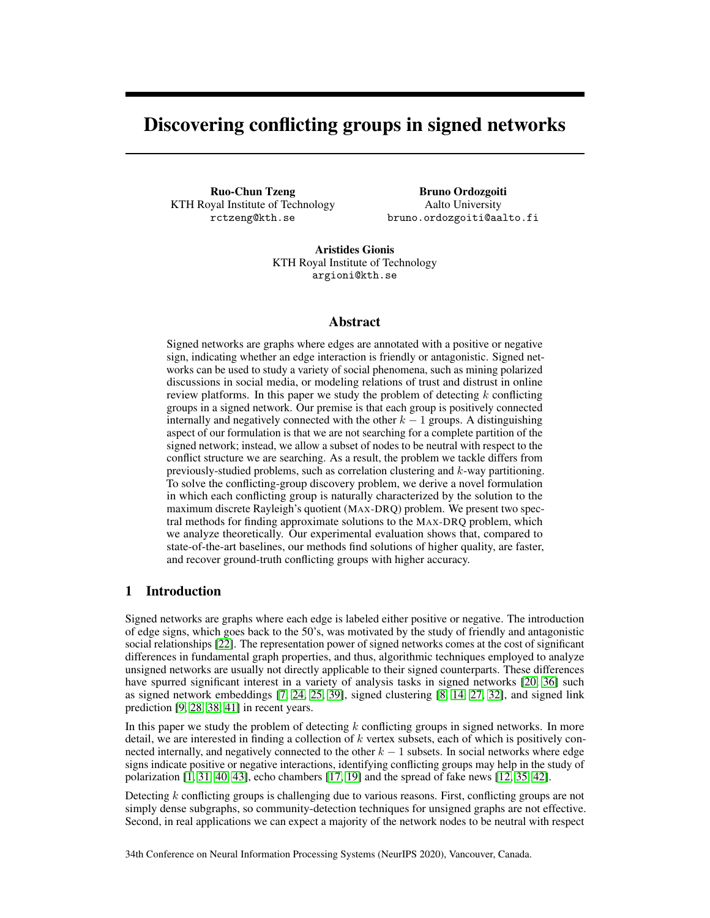# <span id="page-0-0"></span>Discovering conflicting groups in signed networks

Ruo-Chun Tzeng KTH Royal Institute of Technology rctzeng@kth.se

Bruno Ordozgoiti Aalto University bruno.ordozgoiti@aalto.fi

Aristides Gionis KTH Royal Institute of Technology argioni@kth.se

## Abstract

Signed networks are graphs where edges are annotated with a positive or negative sign, indicating whether an edge interaction is friendly or antagonistic. Signed networks can be used to study a variety of social phenomena, such as mining polarized discussions in social media, or modeling relations of trust and distrust in online review platforms. In this paper we study the problem of detecting  $k$  conflicting groups in a signed network. Our premise is that each group is positively connected internally and negatively connected with the other  $k - 1$  groups. A distinguishing aspect of our formulation is that we are not searching for a complete partition of the signed network; instead, we allow a subset of nodes to be neutral with respect to the conflict structure we are searching. As a result, the problem we tackle differs from previously-studied problems, such as correlation clustering and k-way partitioning. To solve the conflicting-group discovery problem, we derive a novel formulation in which each conflicting group is naturally characterized by the solution to the maximum discrete Rayleigh's quotient (MAX-DRQ) problem. We present two spectral methods for finding approximate solutions to the MAX-DRQ problem, which we analyze theoretically. Our experimental evaluation shows that, compared to state-of-the-art baselines, our methods find solutions of higher quality, are faster, and recover ground-truth conflicting groups with higher accuracy.

# 1 Introduction

Signed networks are graphs where each edge is labeled either positive or negative. The introduction of edge signs, which goes back to the 50's, was motivated by the study of friendly and antagonistic social relationships [\[22\]](#page-10-0). The representation power of signed networks comes at the cost of significant differences in fundamental graph properties, and thus, algorithmic techniques employed to analyze unsigned networks are usually not directly applicable to their signed counterparts. These differences have spurred significant interest in a variety of analysis tasks in signed networks [\[20,](#page-10-1) [36\]](#page-11-0) such as signed network embeddings [\[7,](#page-9-0) [24,](#page-10-2) [25,](#page-10-3) [39\]](#page-11-1), signed clustering [\[8,](#page-9-1) [14,](#page-9-2) [27,](#page-10-4) [32\]](#page-10-5), and signed link prediction [\[9,](#page-9-3) [28,](#page-10-6) [38,](#page-11-2) [41\]](#page-11-3) in recent years.

In this paper we study the problem of detecting  $k$  conflicting groups in signed networks. In more detail, we are interested in finding a collection of  $k$  vertex subsets, each of which is positively connected internally, and negatively connected to the other  $k - 1$  subsets. In social networks where edge signs indicate positive or negative interactions, identifying conflicting groups may help in the study of polarization [\[1,](#page-9-4) [31,](#page-10-7) [40,](#page-11-4) [43\]](#page-11-5), echo chambers [\[17,](#page-10-8) [19\]](#page-10-9) and the spread of fake news [\[12,](#page-9-5) [35,](#page-11-6) [42\]](#page-11-7).

Detecting  $k$  conflicting groups is challenging due to various reasons. First, conflicting groups are not simply dense subgraphs, so community-detection techniques for unsigned graphs are not effective. Second, in real applications we can expect a majority of the network nodes to be neutral with respect

34th Conference on Neural Information Processing Systems (NeurIPS 2020), Vancouver, Canada.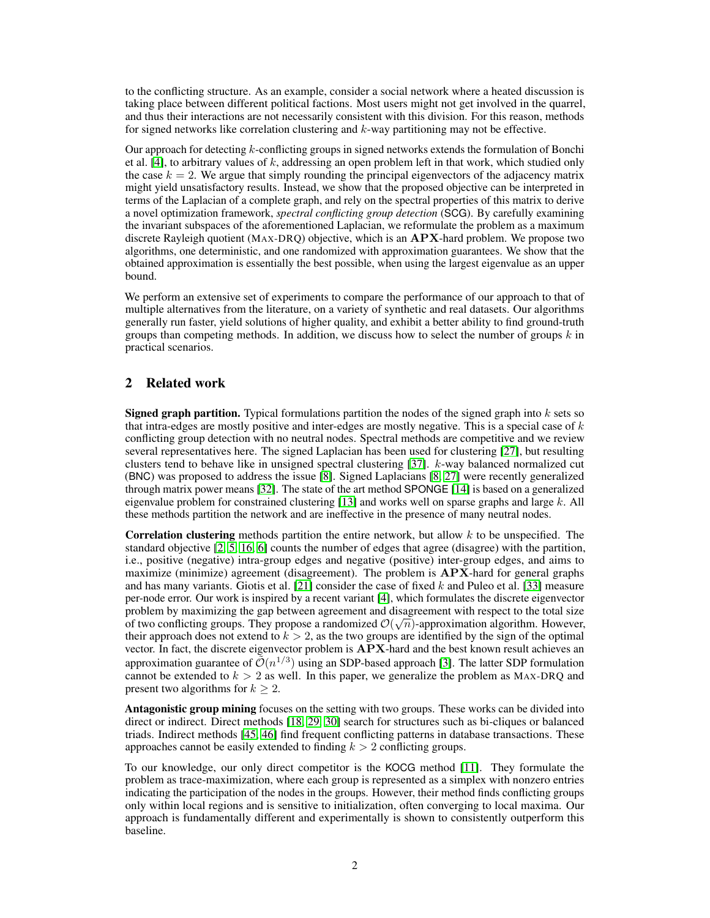to the conflicting structure. As an example, consider a social network where a heated discussion is taking place between different political factions. Most users might not get involved in the quarrel, and thus their interactions are not necessarily consistent with this division. For this reason, methods for signed networks like correlation clustering and k-way partitioning may not be effective.

Our approach for detecting k-conflicting groups in signed networks extends the formulation of Bonchi et al. [\[4\]](#page-9-6), to arbitrary values of k, addressing an open problem left in that work, which studied only the case  $k = 2$ . We argue that simply rounding the principal eigenvectors of the adjacency matrix might yield unsatisfactory results. Instead, we show that the proposed objective can be interpreted in terms of the Laplacian of a complete graph, and rely on the spectral properties of this matrix to derive a novel optimization framework, *spectral conflicting group detection* (SCG). By carefully examining the invariant subspaces of the aforementioned Laplacian, we reformulate the problem as a maximum discrete Rayleigh quotient (MAX-DRO) objective, which is an  $APX$ -hard problem. We propose two algorithms, one deterministic, and one randomized with approximation guarantees. We show that the obtained approximation is essentially the best possible, when using the largest eigenvalue as an upper bound.

We perform an extensive set of experiments to compare the performance of our approach to that of multiple alternatives from the literature, on a variety of synthetic and real datasets. Our algorithms generally run faster, yield solutions of higher quality, and exhibit a better ability to find ground-truth groups than competing methods. In addition, we discuss how to select the number of groups  $k$  in practical scenarios.

# 2 Related work

**Signed graph partition.** Typical formulations partition the nodes of the signed graph into  $k$  sets so that intra-edges are mostly positive and inter-edges are mostly negative. This is a special case of  $k$ conflicting group detection with no neutral nodes. Spectral methods are competitive and we review several representatives here. The signed Laplacian has been used for clustering [\[27\]](#page-10-4), but resulting clusters tend to behave like in unsigned spectral clustering [\[37\]](#page-11-8). k-way balanced normalized cut (BNC) was proposed to address the issue [\[8\]](#page-9-1). Signed Laplacians [\[8,](#page-9-1) [27\]](#page-10-4) were recently generalized through matrix power means [\[32\]](#page-10-5). The state of the art method SPONGE [\[14\]](#page-9-2) is based on a generalized eigenvalue problem for constrained clustering [\[13\]](#page-9-7) and works well on sparse graphs and large  $k$ . All these methods partition the network and are ineffective in the presence of many neutral nodes.

**Correlation clustering** methods partition the entire network, but allow  $k$  to be unspecified. The standard objective [\[2,](#page-9-8) [5,](#page-9-9) [16,](#page-10-10) [6\]](#page-9-10) counts the number of edges that agree (disagree) with the partition, i.e., positive (negative) intra-group edges and negative (positive) inter-group edges, and aims to maximize (minimize) agreement (disagreement). The problem is  $APX$ -hard for general graphs and has many variants. Giotis et al.  $[21]$  consider the case of fixed k and Puleo et al. [\[33\]](#page-10-12) measure per-node error. Our work is inspired by a recent variant [\[4\]](#page-9-6), which formulates the discrete eigenvector problem by maximizing the gap between agreement and disagreement with respect to the total size of two conflicting groups. They propose a randomized  $\mathcal{O}(\sqrt{n})$ -approximation algorithm. However, their approach does not extend to  $k > 2$ , as the two groups are identified by the sign of the optimal vector. In fact, the discrete eigenvector problem is APX-hard and the best known result achieves an approximation guarantee of  $\tilde{\mathcal{O}}(n^{1/3})$  using an SDP-based approach [\[3\]](#page-9-11). The latter SDP formulation cannot be extended to  $k > 2$  as well. In this paper, we generalize the problem as MAX-DRQ and present two algorithms for  $k \geq 2$ .

Antagonistic group mining focuses on the setting with two groups. These works can be divided into direct or indirect. Direct methods [\[18,](#page-10-13) [29,](#page-10-14) [30\]](#page-10-15) search for structures such as bi-cliques or balanced triads. Indirect methods [\[45,](#page-11-9) [46\]](#page-11-10) find frequent conflicting patterns in database transactions. These approaches cannot be easily extended to finding  $k > 2$  conflicting groups.

To our knowledge, our only direct competitor is the KOCG method [\[11\]](#page-9-12). They formulate the problem as trace-maximization, where each group is represented as a simplex with nonzero entries indicating the participation of the nodes in the groups. However, their method finds conflicting groups only within local regions and is sensitive to initialization, often converging to local maxima. Our approach is fundamentally different and experimentally is shown to consistently outperform this baseline.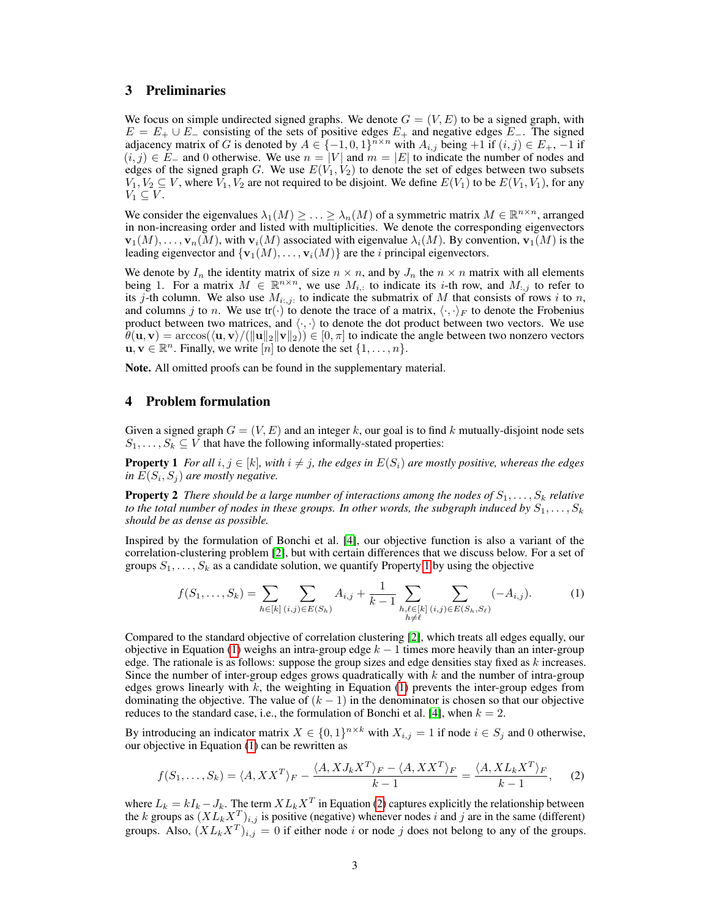## 3 Preliminaries

We focus on simple undirected signed graphs. We denote  $G = (V, E)$  to be a signed graph, with  $E = E_+ \cup E_-\$  consisting of the sets of positive edges  $E_+$  and negative edges  $E_-\$ . The signed adjacency matrix of G is denoted by  $A \in \{-1,0,1\}^{n \times n}$  with  $A_{i,j}$  being  $+1$  if  $(i,j) \in E_+, -1$  if  $(i, j) \in E_-\$  and 0 otherwise. We use  $n = |V|$  and  $m = |E|$  to indicate the number of nodes and edges of the signed graph G. We use  $E(V_1, V_2)$  to denote the set of edges between two subsets  $V_1, V_2 \subseteq V$ , where  $V_1, V_2$  are not required to be disjoint. We define  $E(V_1)$  to be  $E(V_1, V_1)$ , for any  $V_1 \subseteq V$ .

We consider the eigenvalues  $\lambda_1(M) \geq \ldots \geq \lambda_n(M)$  of a symmetric matrix  $M \in \mathbb{R}^{n \times n}$ , arranged in non-increasing order and listed with multiplicities. We denote the corresponding eigenvectors  $\mathbf{v}_1(M), \ldots, \mathbf{v}_n(M)$ , with  $\mathbf{v}_i(M)$  associated with eigenvalue  $\lambda_i(M)$ . By convention,  $\mathbf{v}_1(M)$  is the leading eigenvector and  $\{v_1(M), \ldots, v_i(M)\}\$  are the *i* principal eigenvectors.

We denote by  $I_n$  the identity matrix of size  $n \times n$ , and by  $J_n$  the  $n \times n$  matrix with all elements being 1. For a matrix  $M \in \mathbb{R}^{n \times n}$ , we use  $M_{i,:}$  to indicate its *i*-th row, and  $M_{:,j}$  to refer to its j-th column. We also use  $M_{i,j}$ : to indicate the submatrix of M that consists of rows i to n, and columns j to n. We use  $tr(\cdot)$  to denote the trace of a matrix,  $\langle \cdot, \cdot \rangle_F$  to denote the Frobenius product between two matrices, and  $\langle \cdot, \cdot \rangle$  to denote the dot product between two vectors. We use  $\theta(\mathbf{u}, \mathbf{v}) = \arccos(\langle \mathbf{u}, \mathbf{v}\rangle / (\|\mathbf{u}\|_2 \|\mathbf{v}\|_2)) \in [0, \pi]$  to indicate the angle between two nonzero vectors  $\mathbf{u}, \mathbf{v} \in \mathbb{R}^n$ . Finally, we write  $[n]$  to denote the set  $\{1, \ldots, n\}$ .

Note. All omitted proofs can be found in the supplementary material.

# 4 Problem formulation

Given a signed graph  $G = (V, E)$  and an integer k, our goal is to find k mutually-disjoint node sets  $S_1, \ldots, S_k \subseteq V$  that have the following informally-stated properties:

**Property 1** *For all*  $i, j \in [k]$ *, with*  $i \neq j$ *, the edges in*  $E(S_i)$  *are mostly positive, whereas the edges in*  $E(S_i, S_j)$  are mostly negative.

<span id="page-2-3"></span>**Property 2** *There should be a large number of interactions among the nodes of*  $S_1, \ldots, S_k$  *relative to the total number of nodes in these groups. In other words, the subgraph induced by*  $S_1, \ldots, S_k$ *should be as dense as possible.*

Inspired by the formulation of Bonchi et al. [\[4\]](#page-9-6), our objective function is also a variant of the correlation-clustering problem [\[2\]](#page-9-8), but with certain differences that we discuss below. For a set of groups  $S_1, \ldots, S_k$  as a candidate solution, we quantify Property [1](#page-2-0) by using the objective

<span id="page-2-1"></span><span id="page-2-0"></span>
$$
f(S_1, \ldots, S_k) = \sum_{h \in [k]} \sum_{(i,j) \in E(S_h)} A_{i,j} + \frac{1}{k-1} \sum_{\substack{h,\ell \in [k] \\ h \neq \ell}} \sum_{(i,j) \in E(S_h, S_\ell)} (-A_{i,j}).
$$
 (1)

Compared to the standard objective of correlation clustering [\[2\]](#page-9-8), which treats all edges equally, our objective in Equation [\(1\)](#page-2-1) weighs an intra-group edge  $k - 1$  times more heavily than an inter-group edge. The rationale is as follows: suppose the group sizes and edge densities stay fixed as  $k$  increases. Since the number of inter-group edges grows quadratically with  $k$  and the number of intra-group edges grows linearly with  $k$ , the weighting in Equation [\(1\)](#page-2-1) prevents the inter-group edges from dominating the objective. The value of  $(k - 1)$  in the denominator is chosen so that our objective reduces to the standard case, i.e., the formulation of Bonchi et al. [\[4\]](#page-9-6), when  $k = 2$ .

By introducing an indicator matrix  $X \in \{0,1\}^{n \times k}$  with  $X_{i,j} = 1$  if node  $i \in S_j$  and 0 otherwise, our objective in Equation [\(1\)](#page-2-1) can be rewritten as

<span id="page-2-2"></span>
$$
f(S_1, \ldots, S_k) = \langle A, XX^T \rangle_F - \frac{\langle A, X J_k X^T \rangle_F - \langle A, XX^T \rangle_F}{k - 1} = \frac{\langle A, X L_k X^T \rangle_F}{k - 1}, \qquad (2)
$$

where  $L_k = kI_k - J_k$ . The term  $XL_kX^T$  in Equation [\(2\)](#page-2-2) captures explicitly the relationship between the k groups as  $(X L_k X^T)_{i,j}$  is positive (negative) whenever nodes i and j are in the same (different) groups. Also,  $(X L_k X^T)_{i,j} = 0$  if either node i or node j does not belong to any of the groups.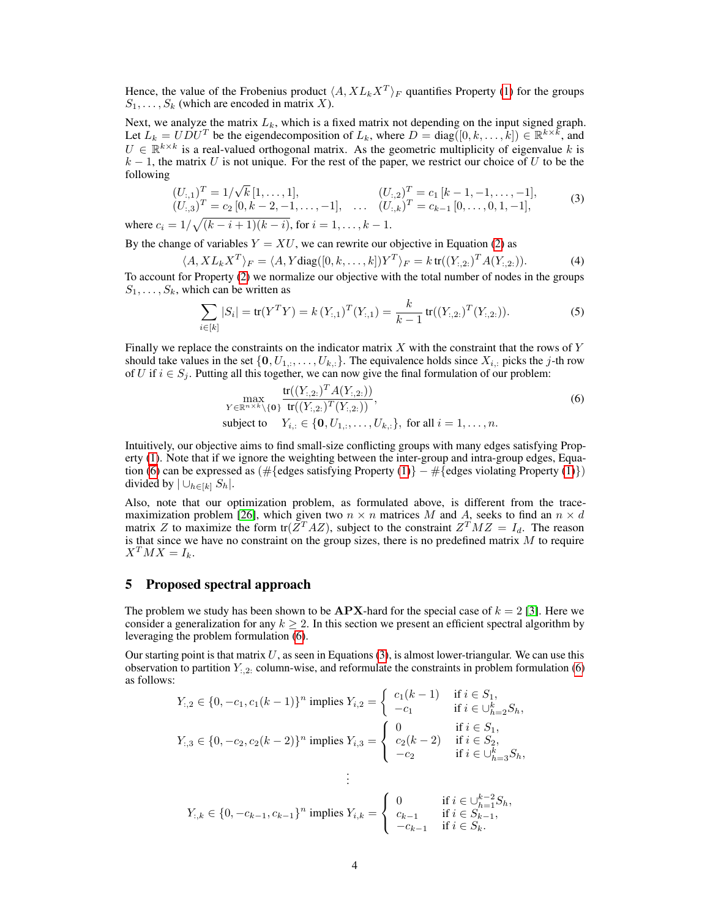Hence, the value of the Frobenius product  $\langle A, X L_k X^T \rangle_F$  quantifies Property [\(1\)](#page-2-0) for the groups  $S_1, \ldots, S_k$  (which are encoded in matrix X).

Next, we analyze the matrix  $L_k$ , which is a fixed matrix not depending on the input signed graph. Let  $L_k = U \tilde{D} U^T$  be the eigendecomposition of  $L_k$ , where  $D = diag([0, k, ..., k]) \in \mathbb{R}^{k \times k}$ , and  $U \in \mathbb{R}^{k \times k}$  is a real-valued orthogonal matrix. As the geometric multiplicity of eigenvalue k is  $k - 1$ , the matrix U is not unique. For the rest of the paper, we restrict our choice of U to be the following √

$$
(U_{:,1})^T = 1/\sqrt{k} [1, ..., 1], \qquad (U_{:,2})^T = c_1 [k-1, -1, ..., -1],
$$
  
\n
$$
(U_{:,3})^T = c_2 [0, k-2, -1, ..., -1], \qquad (U_{:,k})^T = c_{k-1} [0, ..., 0, 1, -1],
$$
\n(3)

where  $c_i = 1/\sqrt{(k-i+1)(k-i)}$ , for  $i = 1, ..., k-1$ .

By the change of variables  $Y = XU$ , we can rewrite our objective in Equation [\(2\)](#page-2-2) as

$$
\langle A, XL_k X^T \rangle_F = \langle A, Y \text{diag}([0, k, \dots, k]) Y^T \rangle_F = k \operatorname{tr}((Y_{:,2:})^T A(Y_{:,2:})). \tag{4}
$$

To account for Property [\(2\)](#page-2-3) we normalize our objective with the total number of nodes in the groups  $S_1, \ldots, S_k$ , which can be written as

<span id="page-3-1"></span>
$$
\sum_{i \in [k]} |S_i| = \text{tr}(Y^T Y) = k (Y_{:,1})^T (Y_{:,1}) = \frac{k}{k-1} \text{tr}((Y_{:,2:})^T (Y_{:,2:})).
$$
\n(5)

Finally we replace the constraints on the indicator matrix  $X$  with the constraint that the rows of  $Y$ should take values in the set  $\{0, U_{1,1}, \ldots, U_{k,:}\}$ . The equivalence holds since  $X_{i,:}$  picks the j-th row of U if  $i \in S_j$ . Putting all this together, we can now give the final formulation of our problem:

<span id="page-3-0"></span>
$$
\max_{Y \in \mathbb{R}^{n \times k} \setminus \{\mathbf{0}\}} \frac{\text{tr}((Y_{\cdot,2\cdot})^T A(Y_{\cdot,2\cdot}))}{\text{tr}((Y_{\cdot,2\cdot})^T (Y_{\cdot,2\cdot}))},
$$
\n
$$
\text{subject to} \quad Y_{i,:} \in \{\mathbf{0}, U_{1,:}, \dots, U_{k,:}\}, \text{ for all } i = 1, \dots, n.
$$
\n
$$
(6)
$$

Intuitively, our objective aims to find small-size conflicting groups with many edges satisfying Property [\(1\)](#page-2-0). Note that if we ignore the weighting between the inter-group and intra-group edges, Equa-tion [\(6\)](#page-3-0) can be expressed as  $(\#\{\text{edges satisfying Property (1)}\}-\#\{\text{edges violating Property (1)}\})$  $(\#\{\text{edges satisfying Property (1)}\}-\#\{\text{edges violating Property (1)}\})$  $(\#\{\text{edges satisfying Property (1)}\}-\#\{\text{edges violating Property (1)}\})$ divided by  $|\bigcup_{h\in[k]} S_h|.$ 

Also, note that our optimization problem, as formulated above, is different from the trace-maximization problem [\[26\]](#page-10-16), which given two  $n \times n$  matrices M and A, seeks to find an  $n \times d$ matrix Z to maximize the form tr $(\bar{Z}^T A Z)$ , subject to the constraint  $Z^T M Z = I_d$ . The reason is that since we have no constraint on the group sizes, there is no predefined matrix  $M$  to require  $X^T M X = I_k.$ 

## 5 Proposed spectral approach

The problem we study has been shown to be  $APX$ -hard for the special case of  $k = 2$  [\[3\]](#page-9-11). Here we consider a generalization for any  $k \ge 2$ . In this section we present an efficient spectral algorithm by leveraging the problem formulation [\(6\)](#page-3-0).

Our starting point is that matrix  $U$ , as seen in Equations [\(3\)](#page-3-1), is almost lower-triangular. We can use this observation to partition  $Y_{:,2:}$  column-wise, and reformulate the constraints in problem formulation [\(6\)](#page-3-0) as follows:

$$
Y_{:,2} \in \{0, -c_1, c_1(k-1)\}^n \text{ implies } Y_{i,2} = \begin{cases} c_1(k-1) & \text{if } i \in S_1, \\ -c_1 & \text{if } i \in \bigcup_{h=2}^k S_h, \end{cases}
$$
  

$$
Y_{:,3} \in \{0, -c_2, c_2(k-2)\}^n \text{ implies } Y_{i,3} = \begin{cases} 0 & \text{if } i \in S_1, \\ c_2(k-2) & \text{if } i \in S_2, \\ -c_2 & \text{if } i \in \bigcup_{h=3}^k S_h, \end{cases}
$$
  

$$
\vdots
$$
  

$$
Y_{:,k} \in \{0, -c_{k-1}, c_{k-1}\}^n \text{ implies } Y_{i,k} = \begin{cases} 0 & \text{if } i \in \bigcup_{h=1}^{k-2} S_h, \\ c_{k-1} & \text{if } i \in S_{k-1}, \\ -c_{k-1} & \text{if } i \in S_k. \end{cases}
$$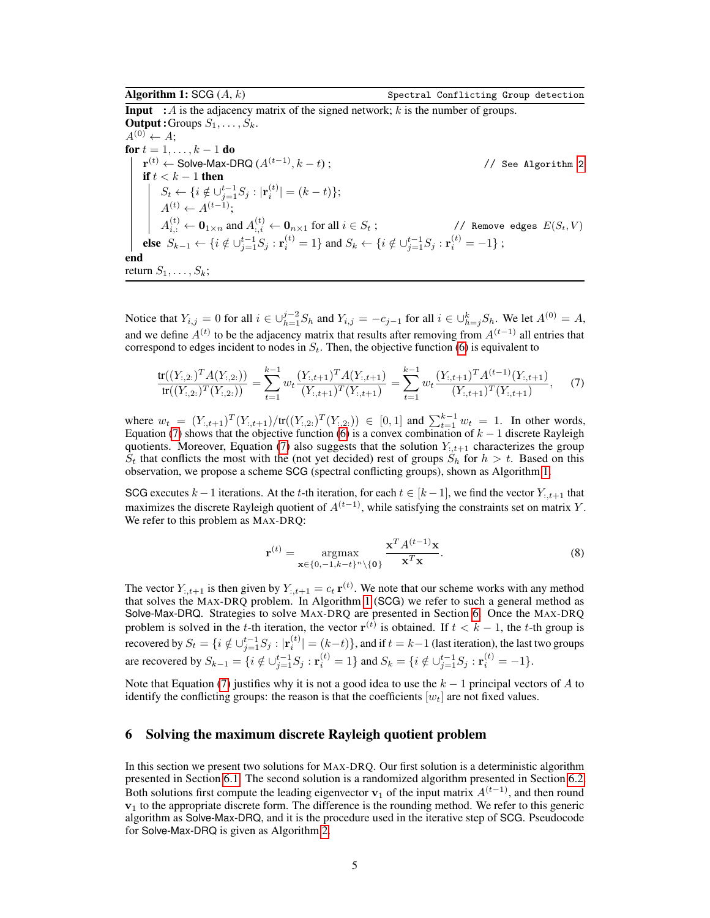**Input** : A is the adjacency matrix of the signed network; k is the number of groups. **Output :** Groups  $S_1, \ldots, S_k$ .  $A^{(0)} \leftarrow A$ ; for  $t = 1, \ldots, k - 1$  do  ${\bf r}^{(t)} \leftarrow {\sf Solve\text{-}Max\text{-}D R Q } (A^{(t-1)}, k - t)$ ; // See Algorithm [2](#page-5-0) if  $t < k - 1$  then  $S_t \leftarrow \{ i \notin \bigcup_{j=1}^{t-1} S_j : |\mathbf{r}_i^{(t)}| = (k-t) \};$  $A^{(t)} \leftarrow A^{(t-1)}$ ;  $A_{i,:}^{(t)} \leftarrow \bm{0}_{1\times n} \text{ and } A_{:,i}^{(t)} \leftarrow \bm{0}_{n\times 1} \text{ for all } i \in S_t \text{ ; } \text{\hspace{1cm}} \text{\hspace{1cm}} \text{\hspace{1cm}} \text{\hspace{1cm}} \text{\hspace{1cm}} \text{\hspace{1cm}} \text{\hspace{1cm}} \text{\hspace{1cm}} \text{\hspace{1cm}} \text{\hspace{1cm}} \text{\hspace{1cm}} \text{\hspace{1cm}} \text{\hspace{1cm}} \text{\hspace{1cm}} \text{\hspace{1cm}} \text{\hspace{1cm}} \text{\hspace{1cm}} \$ else  $S_{k-1} \leftarrow \{i \notin \bigcup_{j=1}^{t-1} S_j : \mathbf{r}_i^{(t)} = 1\}$  and  $S_k \leftarrow \{i \notin \bigcup_{j=1}^{t-1} S_j : \mathbf{r}_i^{(t)} = -1\}$ ; end return  $S_1, \ldots, S_k$ ;

<span id="page-4-1"></span>Notice that  $Y_{i,j} = 0$  for all  $i \in \bigcup_{h=1}^{j-2} S_h$  and  $Y_{i,j} = -c_{j-1}$  for all  $i \in \bigcup_{h=j}^k S_h$ . We let  $A^{(0)} = A$ , and we define  $A^{(t)}$  to be the adjacency matrix that results after removing from  $A^{(t-1)}$  all entries that correspond to edges incident to nodes in  $S_t$ . Then, the objective function [\(6\)](#page-3-0) is equivalent to

$$
\frac{\text{tr}((Y_{:,2:})^T A(Y_{:,2:}))}{\text{tr}((Y_{:,2:})^T (Y_{:,2:}))} = \sum_{t=1}^{k-1} w_t \frac{(Y_{:,t+1})^T A(Y_{:,t+1})}{(Y_{:,t+1})^T (Y_{:,t+1})} = \sum_{t=1}^{k-1} w_t \frac{(Y_{:,t+1})^T A^{(t-1)} (Y_{:,t+1})}{(Y_{:,t+1})^T (Y_{:,t+1})},
$$
(7)

where  $w_t = (Y_{t,t+1})^T (Y_{t,t+1}) / tr((Y_{t,2})^T (Y_{t,2})) \in [0,1]$  and  $\sum_{t=1}^{k-1} w_t = 1$ . In other words, Equation [\(7\)](#page-4-0) shows that the objective function [\(6\)](#page-3-0) is a convex combination of  $k - 1$  discrete Rayleigh quotients. Moreover, Equation [\(7\)](#page-4-0) also suggests that the solution  $Y_{t,t+1}$  characterizes the group  $S_t$  that conflicts the most with the (not yet decided) rest of groups  $S_h$  for  $h > t$ . Based on this observation, we propose a scheme SCG (spectral conflicting groups), shown as Algorithm [1.](#page-4-1)

SCG executes  $k-1$  iterations. At the t-th iteration, for each  $t \in [k-1]$ , we find the vector  $Y_{t,t+1}$  that maximizes the discrete Rayleigh quotient of  $A^{(t-1)}$ , while satisfying the constraints set on matrix Y. We refer to this problem as MAX-DRQ:

<span id="page-4-0"></span>
$$
\mathbf{r}^{(t)} = \underset{\mathbf{x} \in \{0, -1, k-t\}^n \setminus \{\mathbf{0}\}}{\operatorname{argmax}} \frac{\mathbf{x}^T A^{(t-1)} \mathbf{x}}{\mathbf{x}^T \mathbf{x}}.
$$
 (8)

The vector  $Y_{t,t+1}$  is then given by  $Y_{t,t+1} = c_t \, \mathbf{r}^{(t)}$ . We note that our scheme works with any method that solves the MAX-DRQ problem. In Algorithm [1](#page-4-1) (SCG) we refer to such a general method as Solve-Max-DRQ. Strategies to solve MAX-DRQ are presented in Section [6.](#page-4-2) Once the MAX-DRQ problem is solved in the t-th iteration, the vector  $r^{(t)}$  is obtained. If  $t < k - 1$ , the t-th group is recovered by  $S_t = \{i \notin \cup_{j=1}^{t-1} S_j : | \mathbf{r}_i^{(t)}| = (k-t)\},$  and if  $t = k-1$  (last iteration), the last two groups are recovered by  $S_{k-1} = \{i \notin \cup_{j=1}^{t-1} S_j : \mathbf{r}_i^{(t)} = 1\}$  and  $S_k = \{i \notin \cup_{j=1}^{t-1} S_j : \mathbf{r}_i^{(t)} = -1\}.$ 

Note that Equation [\(7\)](#page-4-0) justifies why it is not a good idea to use the  $k - 1$  principal vectors of A to identify the conflicting groups: the reason is that the coefficients  $[w_t]$  are not fixed values.

### <span id="page-4-2"></span>6 Solving the maximum discrete Rayleigh quotient problem

In this section we present two solutions for MAX-DRQ. Our first solution is a deterministic algorithm presented in Section [6.1.](#page-5-1) The second solution is a randomized algorithm presented in Section [6.2.](#page-6-0) Both solutions first compute the leading eigenvector  $v_1$  of the input matrix  $A^{(t-1)}$ , and then round  $v_1$  to the appropriate discrete form. The difference is the rounding method. We refer to this generic algorithm as Solve-Max-DRQ, and it is the procedure used in the iterative step of SCG. Pseudocode for Solve-Max-DRQ is given as Algorithm [2.](#page-5-0)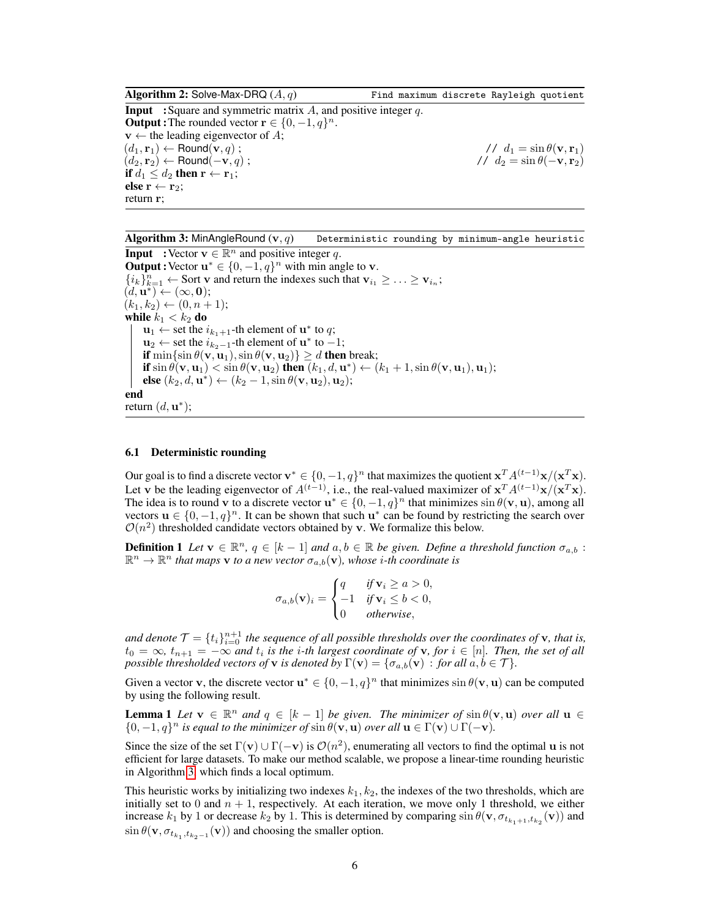**Algorithm 2:** Solve-Max-DRQ  $(A, q)$  Find maximum discrete Rayleigh quotient **Input** :Square and symmetric matrix  $\overline{A}$ , and positive integer  $q$ . **Output :** The rounded vector  $\mathbf{r} \in \{0, -1, q\}^n$ .  $v \leftarrow$  the leading eigenvector of A;  $(d_1, \mathbf{r}_1) \leftarrow \text{Round}(\mathbf{v}, q)$ ;<br>  $(d_2, \mathbf{r}_2) \leftarrow \text{Round}(-\mathbf{v}, q)$ ;<br>  $d_1 = \sin \theta(\mathbf{v}, \mathbf{r}_1)$ <br>  $d_2 = \sin \theta(-\mathbf{v}, \mathbf{r}_2)$  $(d_2, r_2) \leftarrow$  Round $(-\mathbf{v}, q)$ ; if  $d_1 \leq d_2$  then  $\mathbf{r} \leftarrow \mathbf{r}_1$ ; else  $r \leftarrow r_2$ ; return r;

<span id="page-5-0"></span>**Algorithm 3:** MinAngleRound  $(v, q)$  Deterministic rounding by minimum-angle heuristic **Input** :Vector  $\mathbf{v} \in \mathbb{R}^n$  and positive integer q.

**Output :** Vector  $\mathbf{u}^* \in \{0, -1, q\}^n$  with min angle to **v**.  $\{i_k\}_{k=1}^n \leftarrow$  Sort v and return the indexes such that  $v_{i_1} \geq \ldots \geq v_{i_n}$ ;  $(d, \mathbf{u}^*) \leftarrow (\infty, \mathbf{0});$  $(k_1, k_2) \leftarrow (0, n + 1);$ while  $k_1 < k_2$  do  $\mathbf{u}_1 \leftarrow$  set the  $i_{k_1+1}$ -th element of  $\mathbf{u}^*$  to  $q$ ;  $\mathbf{u}_2 \leftarrow$  set the  $i_{k_2-1}$ -th element of  $\mathbf{u}^*$  to  $-1$ ; if  $\min\{\sin \theta(\mathbf{v}, \mathbf{u}_1), \sin \theta(\mathbf{v}, \mathbf{u}_2)\} \ge d$  then break; if  $\sin \theta(\mathbf{v}, \mathbf{u}_1) < \sin \theta(\mathbf{v}, \mathbf{u}_2)$  then  $(k_1, d, \mathbf{u}^*) \leftarrow (k_1 + 1, \sin \theta(\mathbf{v}, \mathbf{u}_1), \mathbf{u}_1);$ **else** (k<sub>2</sub>, d, **u**<sup>\*</sup>) ← (k<sub>2</sub> − 1, sin θ(**v**, **u**<sub>2</sub>), **u**<sub>2</sub>); end return  $(d, \mathbf{u}^*);$ 

#### <span id="page-5-2"></span><span id="page-5-1"></span>6.1 Deterministic rounding

Our goal is to find a discrete vector  $\mathbf{v}^* \in \{0, -1, q\}^n$  that maximizes the quotient  $\mathbf{x}^T A^{(t-1)} \mathbf{x} / (\mathbf{x}^T \mathbf{x})$ . Let v be the leading eigenvector of  $A^{(t-1)}$ , i.e., the real-valued maximizer of  $x^T A^{(t-1)} x/(x^T x)$ . The idea is to round v to a discrete vector  $\mathbf{u}^* \in \{0, -1, q\}^n$  that minimizes  $\sin \theta(\mathbf{v}, \mathbf{u})$ , among all vectors  $\mathbf{u} \in \{0, -1, q\}^n$ . It can be shown that such  $\mathbf{u}^*$  can be found by restricting the search over  $\mathcal{O}(n^2)$  thresholded candidate vectors obtained by v. We formalize this below.

**Definition 1** Let  $\mathbf{v} \in \mathbb{R}^n$ ,  $q \in [k-1]$  and  $a, b \in \mathbb{R}$  be given. Define a threshold function  $\sigma_{a,b}$ :  $\mathbb{R}^n \to \mathbb{R}^n$  that maps **v** to a new vector  $\sigma_{a,b}(\mathbf{v})$ , whose *i*-th coordinate is

$$
\sigma_{a,b}(\mathbf{v})_i = \begin{cases} q & \text{if } \mathbf{v}_i \ge a > 0, \\ -1 & \text{if } \mathbf{v}_i \le b < 0, \\ 0 & \text{otherwise,} \end{cases}
$$

and denote  $\mathcal{T} = \{t_i\}_{i=0}^{n+1}$  the sequence of all possible thresholds over the coordinates of **v**, that is,  $t_0 = \infty$ ,  $t_{n+1} = -\infty$  and  $t_i$  is the *i*-th largest coordinate of **v**, for  $i \in [n]$ . Then, the set of all *possible thresholded vectors of* **v** *is denoted by*  $\Gamma(\mathbf{v}) = {\sigma_{a,b}(\mathbf{v}) : for all  $a, b \in \mathcal{T}}$ *).*$ 

Given a vector **v**, the discrete vector  $\mathbf{u}^* \in \{0, -1, q\}^n$  that minimizes  $\sin \theta(\mathbf{v}, \mathbf{u})$  can be computed by using the following result.

**Lemma 1** Let  $\mathbf{v} \in \mathbb{R}^n$  and  $q \in [k-1]$  be given. The minimizer of  $\sin \theta(\mathbf{v}, \mathbf{u})$  over all  $\mathbf{u} \in$  $\{0, -1, q\}^n$  *is equal to the minimizer of*  $\sin \theta(\mathbf{v}, \mathbf{u})$  *over all*  $\mathbf{u} \in \Gamma(\mathbf{v}) \cup \Gamma(-\mathbf{v})$ *.* 

Since the size of the set  $\Gamma(\mathbf{v}) \cup \Gamma(-\mathbf{v})$  is  $\mathcal{O}(n^2)$ , enumerating all vectors to find the optimal u is not efficient for large datasets. To make our method scalable, we propose a linear-time rounding heuristic in Algorithm [3,](#page-5-2) which finds a local optimum.

This heuristic works by initializing two indexes  $k_1, k_2$ , the indexes of the two thresholds, which are initially set to 0 and  $n + 1$ , respectively. At each iteration, we move only 1 threshold, we either increase  $k_1$  by 1 or decrease  $k_2$  by 1. This is determined by comparing  $\sin \theta(\mathbf{v}, \sigma_{t_{k_1+1},t_{k_2}}(\mathbf{v}))$  and  $\sin \theta(\mathbf{v}, \sigma_{t_{k_1}, t_{k_2-1}}(\mathbf{v}))$  and choosing the smaller option.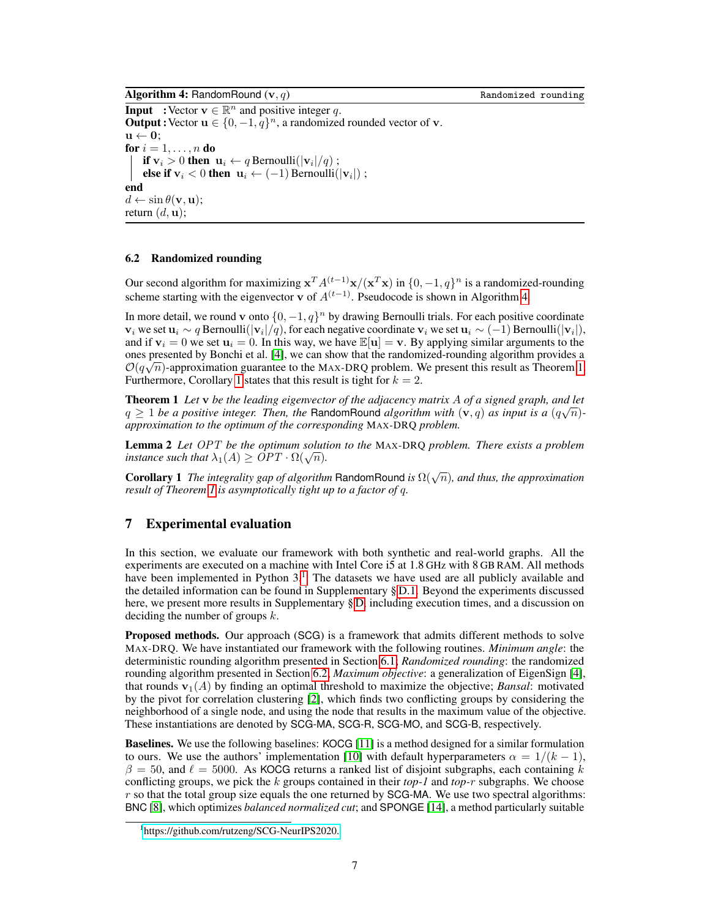**Algorithm 4:** RandomRound  $(v, q)$  Randomized rounding

**Input** :Vector  $\mathbf{v} \in \mathbb{R}^n$  and positive integer q. **Output :** Vector  $\mathbf{u} \in \{0, -1, q\}^n$ , a randomized rounded vector of **v**.  $\mathbf{u} \leftarrow \mathbf{0}$ ; for  $i = 1, \ldots, n$  do if  $v_i > 0$  then  $u_i \leftarrow q$  Bernoulli $(|v_i|/q)$ ; else if  $v_i$  < 0 then  $u_i$  ← (-1) Bernoulli( $|v_i|$ ); end  $d \leftarrow \sin \theta(\mathbf{v}, \mathbf{u});$ return  $(d, \mathbf{u})$ ;

#### <span id="page-6-1"></span><span id="page-6-0"></span>6.2 Randomized rounding

Our second algorithm for maximizing  $x^T A^{(t-1)}x/(x^T x)$  in  $\{0, -1, q\}^n$  is a randomized-rounding scheme starting with the eigenvector v of  $A^{(t-1)}$ . Pseudocode is shown in Algorithm [4.](#page-6-1)

In more detail, we round v onto  $\{0, -1, q\}^n$  by drawing Bernoulli trials. For each positive coordinate  $v_i$  we set  $u_i \sim q$  Bernoulli $(|v_i|/q)$ , for each negative coordinate  $v_i$  we set  $u_i \sim (-1)$  Bernoulli $(|v_i|)$ , and if  $v_i = 0$  we set  $u_i = 0$ . In this way, we have  $\mathbb{E}[u] = v$ . By applying similar arguments to the ones presented by Bonchi et al. [\[4\]](#page-9-6), we can show that the randomized-rounding algorithm provides a a metal of the mass of the mass of the mass of the mass of the mass of the mass of the mass of the mass of the mass of the  $\mathcal{O}(q\sqrt{n})$ -approximation guarantee to the MAX-DRQ problem. We present this result as Theorem [1.](#page-6-2) Furthermore, Corollary [1](#page-6-3) states that this result is tight for  $k = 2$ .

<span id="page-6-2"></span>Theorem 1 *Let* v *be the leading eigenvector of the adjacency matrix* A *of a signed graph, and let* √  $q \geq 1$  *be a positive integer. Then, the RandomRound <i>algorithm with*  $(v, q)$  *as input is a*  $(q\sqrt{n})$ *approximation to the optimum of the corresponding* MAX-DRQ *problem.*

Lemma 2 *Let* OPT *be the optimum solution to the* MAX-DRQ *problem. There exists a problem* **Lemma** 2 Let  $OF1$  be the optimum solutions instance such that  $\lambda_1(A) \geq OPT \cdot \Omega(\sqrt{n})$ .

<span id="page-6-3"></span>**Corollary 1** *The integrality gap of algorithm* RandomRound *is*  $\Omega(\sqrt{n})$ *, and thus, the approximation result of Theorem [1](#page-6-2) is asymptotically tight up to a factor of* q*.*

## 7 Experimental evaluation

In this section, we evaluate our framework with both synthetic and real-world graphs. All the experiments are executed on a machine with Intel Core i5 at 1.8 GHz with 8 GB RAM. All methods have been implemented in Python  $3<sup>1</sup>$  $3<sup>1</sup>$  $3<sup>1</sup>$ . The datasets we have used are all publicly available and the detailed information can be found in Supplementary § [D.1.](#page-0-0) Beyond the experiments discussed here, we present more results in Supplementary § [D,](#page-0-0) including execution times, and a discussion on deciding the number of groups k.

Proposed methods. Our approach (SCG) is a framework that admits different methods to solve MAX-DRQ. We have instantiated our framework with the following routines. *Minimum angle*: the deterministic rounding algorithm presented in Section [6.1;](#page-5-1) *Randomized rounding*: the randomized rounding algorithm presented in Section [6.2;](#page-6-0) *Maximum objective*: a generalization of EigenSign [\[4\]](#page-9-6), that rounds  $\mathbf{v}_1(A)$  by finding an optimal threshold to maximize the objective; *Bansal*: motivated by the pivot for correlation clustering [\[2\]](#page-9-8), which finds two conflicting groups by considering the neighborhood of a single node, and using the node that results in the maximum value of the objective. These instantiations are denoted by SCG-MA, SCG-R, SCG-MO, and SCG-B, respectively.

Baselines. We use the following baselines: KOCG [\[11\]](#page-9-12) is a method designed for a similar formulation to ours. We use the authors' implementation [\[10\]](#page-9-13) with default hyperparameters  $\alpha = 1/(k - 1)$ ,  $\beta = 50$ , and  $\ell = 5000$ . As KOCG returns a ranked list of disjoint subgraphs, each containing k conflicting groups, we pick the k groups contained in their *top-1* and *top-*r subgraphs. We choose  $r$  so that the total group size equals the one returned by SCG-MA. We use two spectral algorithms: BNC [\[8\]](#page-9-1), which optimizes *balanced normalized cut*; and SPONGE [\[14\]](#page-9-2), a method particularly suitable

<span id="page-6-4"></span><sup>1</sup> [https://github.com/rutzeng/SCG-NeurIPS2020.](https://github.com/rutzeng/SCG-NeurIPS2020)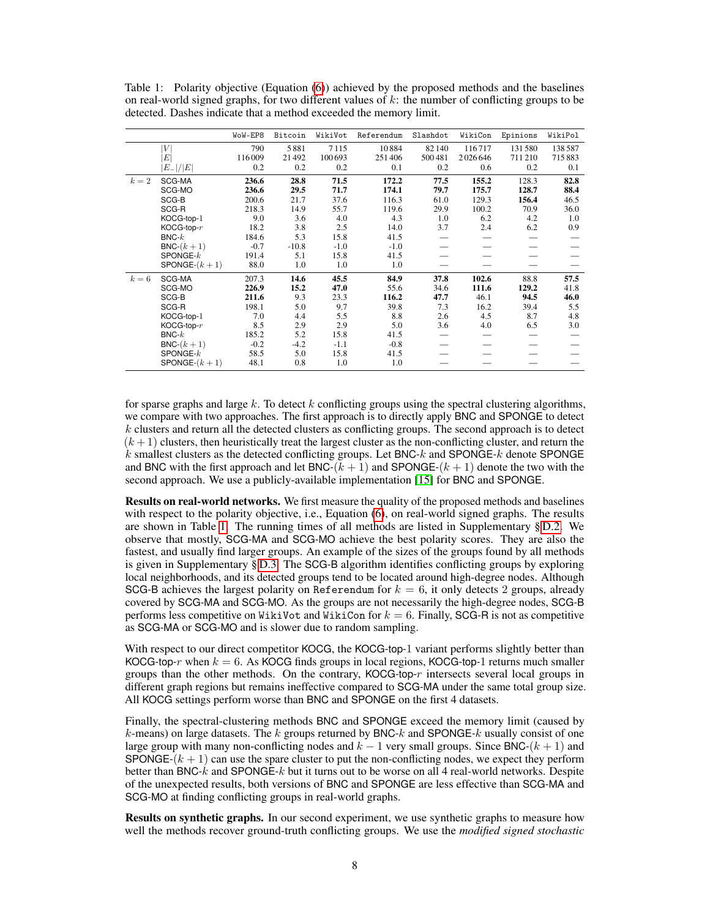|       |                 | WoW-EP8 | Bitcoin | WikiVot | Referendum | Slashdot | WikiCon | Epinions | WikiPol |
|-------|-----------------|---------|---------|---------|------------|----------|---------|----------|---------|
|       | V               | 790     | 5881    | 7115    | 10884      | 82140    | 116717  | 131580   | 138587  |
|       | $E\vert$        | 116009  | 21492   | 100 693 | 251406     | 500481   | 2026646 | 711 210  | 715883  |
|       | $ E_- / E $     | 0.2     | 0.2     | 0.2     | 0.1        | 0.2      | 0.6     | 0.2      | 0.1     |
| $k=2$ | SCG-MA          | 236.6   | 28.8    | 71.5    | 172.2      | 77.5     | 155.2   | 128.3    | 82.8    |
|       | SCG-MO          | 236.6   | 29.5    | 71.7    | 174.1      | 79.7     | 175.7   | 128.7    | 88.4    |
|       | SCG-B           | 200.6   | 21.7    | 37.6    | 116.3      | 61.0     | 129.3   | 156.4    | 46.5    |
|       | SCG-R           | 218.3   | 14.9    | 55.7    | 119.6      | 29.9     | 100.2   | 70.9     | 36.0    |
|       | KOCG-top-1      | 9.0     | 3.6     | 4.0     | 4.3        | 1.0      | 6.2     | 4.2      | 1.0     |
|       | $KOG$ -top- $r$ | 18.2    | 3.8     | 2.5     | 14.0       | 3.7      | 2.4     | 6.2      | 0.9     |
|       | $BNC-k$         | 184.6   | 5.3     | 15.8    | 41.5       |          |         |          |         |
|       | $BNC-(k+1)$     | $-0.7$  | $-10.8$ | $-1.0$  | $-1.0$     |          |         |          |         |
|       | $SPONGE-k$      | 191.4   | 5.1     | 15.8    | 41.5       |          |         |          |         |
|       | SPONGE- $(k+1)$ | 88.0    | 1.0     | 1.0     | 1.0        |          |         |          |         |
| $k=6$ | SCG-MA          | 207.3   | 14.6    | 45.5    | 84.9       | 37.8     | 102.6   | 88.8     | 57.5    |
|       | SCG-MO          | 226.9   | 15.2    | 47.0    | 55.6       | 34.6     | 111.6   | 129.2    | 41.8    |
|       | SCG-B           | 211.6   | 9.3     | 23.3    | 116.2      | 47.7     | 46.1    | 94.5     | 46.0    |
|       | SCG-R           | 198.1   | 5.0     | 9.7     | 39.8       | 7.3      | 16.2    | 39.4     | 5.5     |
|       | KOCG-top-1      | 7.0     | 4.4     | 5.5     | 8.8        | 2.6      | 4.5     | 8.7      | 4.8     |
|       | $KOG$ -top- $r$ | 8.5     | 2.9     | 2.9     | 5.0        | 3.6      | 4.0     | 6.5      | 3.0     |
|       | $BNC-k$         | 185.2   | 5.2     | 15.8    | 41.5       |          |         |          |         |
|       | $BNC-(k+1)$     | $-0.2$  | $-4.2$  | $-1.1$  | $-0.8$     |          |         |          |         |
|       | $SPONGE-k$      | 58.5    | 5.0     | 15.8    | 41.5       |          |         |          |         |
|       | SPONGE- $(k+1)$ | 48.1    | 0.8     | 1.0     | 1.0        |          |         |          |         |

<span id="page-7-0"></span>Table 1: Polarity objective (Equation [\(6\)](#page-3-0)) achieved by the proposed methods and the baselines on real-world signed graphs, for two different values of  $k$ : the number of conflicting groups to be detected. Dashes indicate that a method exceeded the memory limit.

for sparse graphs and large  $k$ . To detect  $k$  conflicting groups using the spectral clustering algorithms, we compare with two approaches. The first approach is to directly apply BNC and SPONGE to detect  $k$  clusters and return all the detected clusters as conflicting groups. The second approach is to detect  $(k+1)$  clusters, then heuristically treat the largest cluster as the non-conflicting cluster, and return the  $k$  smallest clusters as the detected conflicting groups. Let BNC- $k$  and SPONGE- $k$  denote SPONGE and BNC with the first approach and let BNC- $(k + 1)$  and SPONGE- $(k + 1)$  denote the two with the second approach. We use a publicly-available implementation [\[15\]](#page-10-17) for BNC and SPONGE.

Results on real-world networks. We first measure the quality of the proposed methods and baselines with respect to the polarity objective, i.e., Equation [\(6\)](#page-3-0), on real-world signed graphs. The results are shown in Table [1.](#page-7-0) The running times of all methods are listed in Supplementary § [D.2.](#page-0-0) We observe that mostly, SCG-MA and SCG-MO achieve the best polarity scores. They are also the fastest, and usually find larger groups. An example of the sizes of the groups found by all methods is given in Supplementary § [D.3.](#page-0-0) The SCG-B algorithm identifies conflicting groups by exploring local neighborhoods, and its detected groups tend to be located around high-degree nodes. Although SCG-B achieves the largest polarity on Referendum for  $k = 6$ , it only detects 2 groups, already covered by SCG-MA and SCG-MO. As the groups are not necessarily the high-degree nodes, SCG-B performs less competitive on WikiVot and WikiCon for  $k = 6$ . Finally, SCG-R is not as competitive as SCG-MA or SCG-MO and is slower due to random sampling.

With respect to our direct competitor KOCG, the KOCG-top-1 variant performs slightly better than KOCG-top-r when  $k = 6$ . As KOCG finds groups in local regions, KOCG-top-1 returns much smaller groups than the other methods. On the contrary, KOCG-top-r intersects several local groups in different graph regions but remains ineffective compared to SCG-MA under the same total group size. All KOCG settings perform worse than BNC and SPONGE on the first 4 datasets.

Finally, the spectral-clustering methods BNC and SPONGE exceed the memory limit (caused by  $k$ -means) on large datasets. The k groups returned by BNC-k and SPONGE-k usually consist of one large group with many non-conflicting nodes and  $k - 1$  very small groups. Since BNC-( $k + 1$ ) and SPONGE- $(k + 1)$  can use the spare cluster to put the non-conflicting nodes, we expect they perform better than BNC- $k$  and SPONGE- $k$  but it turns out to be worse on all 4 real-world networks. Despite of the unexpected results, both versions of BNC and SPONGE are less effective than SCG-MA and SCG-MO at finding conflicting groups in real-world graphs.

Results on synthetic graphs. In our second experiment, we use synthetic graphs to measure how well the methods recover ground-truth conflicting groups. We use the *modified signed stochastic*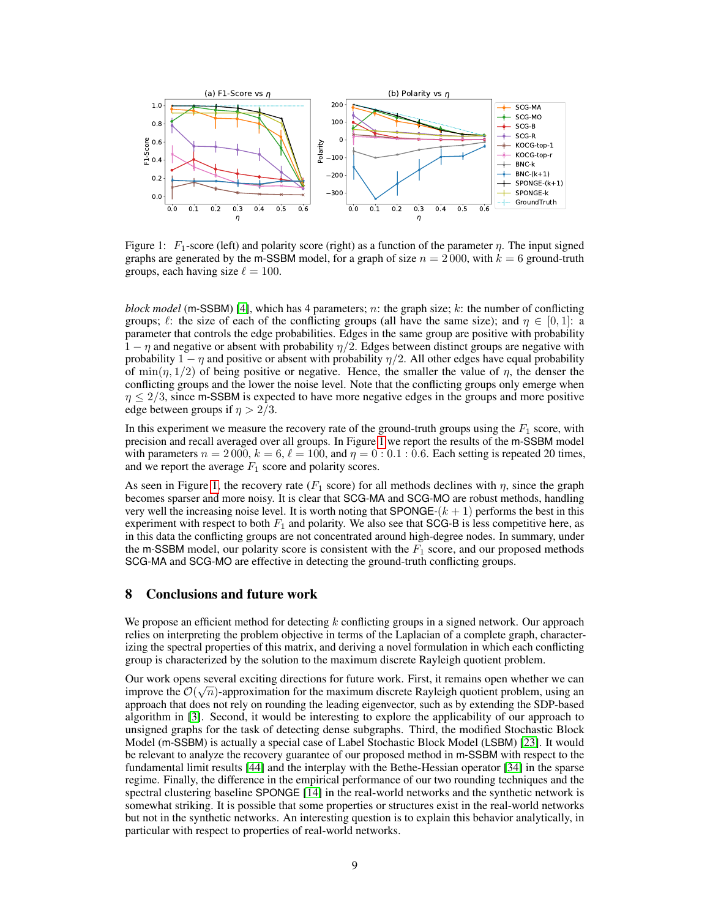

<span id="page-8-0"></span>Figure 1:  $F_1$ -score (left) and polarity score (right) as a function of the parameter  $\eta$ . The input signed graphs are generated by the m-SSBM model, for a graph of size  $n = 2000$ , with  $k = 6$  ground-truth groups, each having size  $\ell = 100$ .

*block model* (m-SSBM) [\[4\]](#page-9-6), which has 4 parameters; n: the graph size; k: the number of conflicting groups;  $\ell$ : the size of each of the conflicting groups (all have the same size); and  $\eta \in [0, 1]$ : a parameter that controls the edge probabilities. Edges in the same group are positive with probability  $1 - \eta$  and negative or absent with probability  $\eta/2$ . Edges between distinct groups are negative with probability  $1 - \eta$  and positive or absent with probability  $\eta/2$ . All other edges have equal probability of min $(\eta, 1/2)$  of being positive or negative. Hence, the smaller the value of  $\eta$ , the denser the conflicting groups and the lower the noise level. Note that the conflicting groups only emerge when  $\eta$   $\leq$  2/3, since m-SSBM is expected to have more negative edges in the groups and more positive edge between groups if  $n > 2/3$ .

In this experiment we measure the recovery rate of the ground-truth groups using the  $F_1$  score, with precision and recall averaged over all groups. In Figure [1](#page-8-0) we report the results of the m-SSBM model with parameters  $n = 2000$ ,  $k = 6$ ,  $\ell = 100$ , and  $\eta = 0: 0.1: 0.6$ . Each setting is repeated 20 times, and we report the average  $F_1$  score and polarity scores.

As seen in Figure [1,](#page-8-0) the recovery rate  $(F_1 \text{ score})$  for all methods declines with  $\eta$ , since the graph becomes sparser and more noisy. It is clear that SCG-MA and SCG-MO are robust methods, handling very well the increasing noise level. It is worth noting that SPONGE- $(k + 1)$  performs the best in this experiment with respect to both  $F_1$  and polarity. We also see that SCG-B is less competitive here, as in this data the conflicting groups are not concentrated around high-degree nodes. In summary, under the m-SSBM model, our polarity score is consistent with the  $\overline{F_1}$  score, and our proposed methods SCG-MA and SCG-MO are effective in detecting the ground-truth conflicting groups.

# 8 Conclusions and future work

We propose an efficient method for detecting  $k$  conflicting groups in a signed network. Our approach relies on interpreting the problem objective in terms of the Laplacian of a complete graph, characterizing the spectral properties of this matrix, and deriving a novel formulation in which each conflicting group is characterized by the solution to the maximum discrete Rayleigh quotient problem.

Our work opens several exciting directions for future work. First, it remains open whether we can improve the  $\mathcal{O}(\sqrt{n})$ -approximation for the maximum discrete Rayleigh quotient problem, using an approach that does not rely on rounding the leading eigenvector, such as by extending the SDP-based algorithm in [\[3\]](#page-9-11). Second, it would be interesting to explore the applicability of our approach to unsigned graphs for the task of detecting dense subgraphs. Third, the modified Stochastic Block Model (m-SSBM) is actually a special case of Label Stochastic Block Model (LSBM) [\[23\]](#page-10-18). It would be relevant to analyze the recovery guarantee of our proposed method in m-SSBM with respect to the fundamental limit results [\[44\]](#page-11-11) and the interplay with the Bethe-Hessian operator [\[34\]](#page-10-19) in the sparse regime. Finally, the difference in the empirical performance of our two rounding techniques and the spectral clustering baseline SPONGE [\[14\]](#page-9-2) in the real-world networks and the synthetic network is somewhat striking. It is possible that some properties or structures exist in the real-world networks but not in the synthetic networks. An interesting question is to explain this behavior analytically, in particular with respect to properties of real-world networks.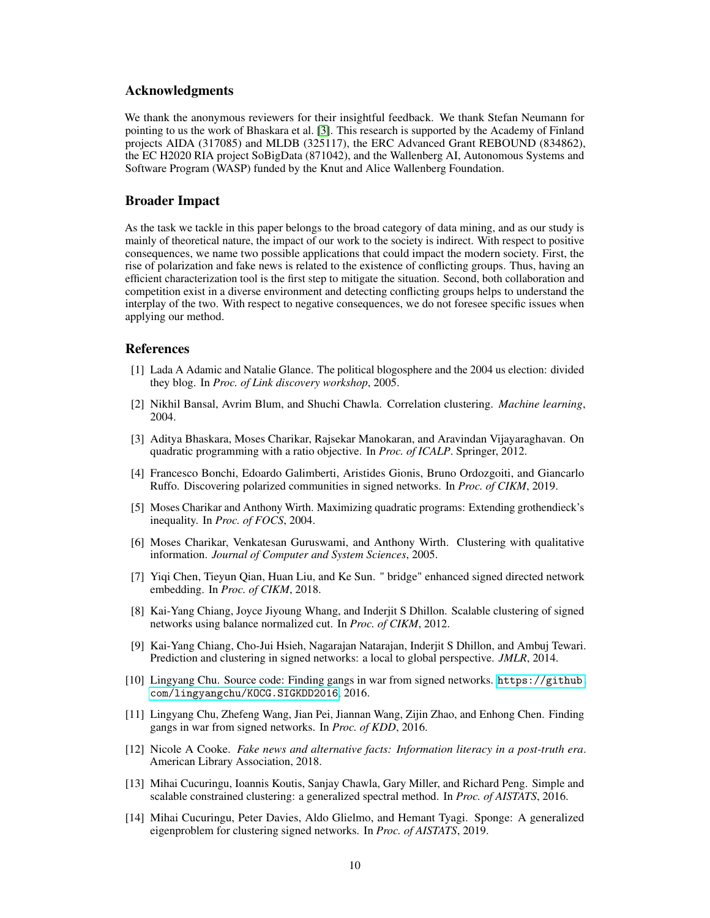## Acknowledgments

We thank the anonymous reviewers for their insightful feedback. We thank Stefan Neumann for pointing to us the work of Bhaskara et al. [\[3\]](#page-9-11). This research is supported by the Academy of Finland projects AIDA (317085) and MLDB (325117), the ERC Advanced Grant REBOUND (834862), the EC H2020 RIA project SoBigData (871042), and the Wallenberg AI, Autonomous Systems and Software Program (WASP) funded by the Knut and Alice Wallenberg Foundation.

#### Broader Impact

As the task we tackle in this paper belongs to the broad category of data mining, and as our study is mainly of theoretical nature, the impact of our work to the society is indirect. With respect to positive consequences, we name two possible applications that could impact the modern society. First, the rise of polarization and fake news is related to the existence of conflicting groups. Thus, having an efficient characterization tool is the first step to mitigate the situation. Second, both collaboration and competition exist in a diverse environment and detecting conflicting groups helps to understand the interplay of the two. With respect to negative consequences, we do not foresee specific issues when applying our method.

#### References

- <span id="page-9-4"></span>[1] Lada A Adamic and Natalie Glance. The political blogosphere and the 2004 us election: divided they blog. In *Proc. of Link discovery workshop*, 2005.
- <span id="page-9-8"></span>[2] Nikhil Bansal, Avrim Blum, and Shuchi Chawla. Correlation clustering. *Machine learning*, 2004.
- <span id="page-9-11"></span>[3] Aditya Bhaskara, Moses Charikar, Rajsekar Manokaran, and Aravindan Vijayaraghavan. On quadratic programming with a ratio objective. In *Proc. of ICALP*. Springer, 2012.
- <span id="page-9-6"></span>[4] Francesco Bonchi, Edoardo Galimberti, Aristides Gionis, Bruno Ordozgoiti, and Giancarlo Ruffo. Discovering polarized communities in signed networks. In *Proc. of CIKM*, 2019.
- <span id="page-9-9"></span>[5] Moses Charikar and Anthony Wirth. Maximizing quadratic programs: Extending grothendieck's inequality. In *Proc. of FOCS*, 2004.
- <span id="page-9-10"></span>[6] Moses Charikar, Venkatesan Guruswami, and Anthony Wirth. Clustering with qualitative information. *Journal of Computer and System Sciences*, 2005.
- <span id="page-9-0"></span>[7] Yiqi Chen, Tieyun Qian, Huan Liu, and Ke Sun. " bridge" enhanced signed directed network embedding. In *Proc. of CIKM*, 2018.
- <span id="page-9-1"></span>[8] Kai-Yang Chiang, Joyce Jiyoung Whang, and Inderjit S Dhillon. Scalable clustering of signed networks using balance normalized cut. In *Proc. of CIKM*, 2012.
- <span id="page-9-3"></span>[9] Kai-Yang Chiang, Cho-Jui Hsieh, Nagarajan Natarajan, Inderjit S Dhillon, and Ambuj Tewari. Prediction and clustering in signed networks: a local to global perspective. *JMLR*, 2014.
- <span id="page-9-13"></span>[10] Lingyang Chu. Source code: Finding gangs in war from signed networks. [https://github.](https://github.com/lingyangchu/KOCG.SIGKDD2016) [com/lingyangchu/KOCG.SIGKDD2016](https://github.com/lingyangchu/KOCG.SIGKDD2016), 2016.
- <span id="page-9-12"></span>[11] Lingyang Chu, Zhefeng Wang, Jian Pei, Jiannan Wang, Zijin Zhao, and Enhong Chen. Finding gangs in war from signed networks. In *Proc. of KDD*, 2016.
- <span id="page-9-5"></span>[12] Nicole A Cooke. *Fake news and alternative facts: Information literacy in a post-truth era*. American Library Association, 2018.
- <span id="page-9-7"></span>[13] Mihai Cucuringu, Ioannis Koutis, Sanjay Chawla, Gary Miller, and Richard Peng. Simple and scalable constrained clustering: a generalized spectral method. In *Proc. of AISTATS*, 2016.
- <span id="page-9-2"></span>[14] Mihai Cucuringu, Peter Davies, Aldo Glielmo, and Hemant Tyagi. Sponge: A generalized eigenproblem for clustering signed networks. In *Proc. of AISTATS*, 2019.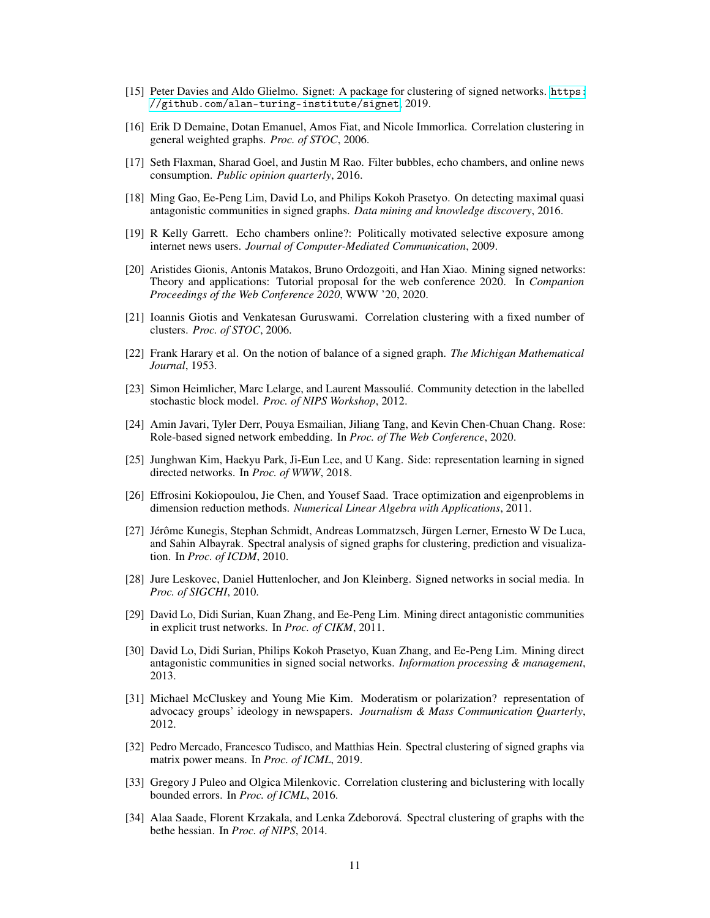- <span id="page-10-17"></span>[15] Peter Davies and Aldo Glielmo. Signet: A package for clustering of signed networks. [https:](https://github.com/alan-turing-institute/signet) [//github.com/alan-turing-institute/signet](https://github.com/alan-turing-institute/signet), 2019.
- <span id="page-10-10"></span>[16] Erik D Demaine, Dotan Emanuel, Amos Fiat, and Nicole Immorlica. Correlation clustering in general weighted graphs. *Proc. of STOC*, 2006.
- <span id="page-10-8"></span>[17] Seth Flaxman, Sharad Goel, and Justin M Rao. Filter bubbles, echo chambers, and online news consumption. *Public opinion quarterly*, 2016.
- <span id="page-10-13"></span>[18] Ming Gao, Ee-Peng Lim, David Lo, and Philips Kokoh Prasetyo. On detecting maximal quasi antagonistic communities in signed graphs. *Data mining and knowledge discovery*, 2016.
- <span id="page-10-9"></span>[19] R Kelly Garrett. Echo chambers online?: Politically motivated selective exposure among internet news users. *Journal of Computer-Mediated Communication*, 2009.
- <span id="page-10-1"></span>[20] Aristides Gionis, Antonis Matakos, Bruno Ordozgoiti, and Han Xiao. Mining signed networks: Theory and applications: Tutorial proposal for the web conference 2020. In *Companion Proceedings of the Web Conference 2020*, WWW '20, 2020.
- <span id="page-10-11"></span>[21] Ioannis Giotis and Venkatesan Guruswami. Correlation clustering with a fixed number of clusters. *Proc. of STOC*, 2006.
- <span id="page-10-0"></span>[22] Frank Harary et al. On the notion of balance of a signed graph. *The Michigan Mathematical Journal*, 1953.
- <span id="page-10-18"></span>[23] Simon Heimlicher, Marc Lelarge, and Laurent Massoulié. Community detection in the labelled stochastic block model. *Proc. of NIPS Workshop*, 2012.
- <span id="page-10-2"></span>[24] Amin Javari, Tyler Derr, Pouya Esmailian, Jiliang Tang, and Kevin Chen-Chuan Chang. Rose: Role-based signed network embedding. In *Proc. of The Web Conference*, 2020.
- <span id="page-10-3"></span>[25] Junghwan Kim, Haekyu Park, Ji-Eun Lee, and U Kang. Side: representation learning in signed directed networks. In *Proc. of WWW*, 2018.
- <span id="page-10-16"></span>[26] Effrosini Kokiopoulou, Jie Chen, and Yousef Saad. Trace optimization and eigenproblems in dimension reduction methods. *Numerical Linear Algebra with Applications*, 2011.
- <span id="page-10-4"></span>[27] Jérôme Kunegis, Stephan Schmidt, Andreas Lommatzsch, Jürgen Lerner, Ernesto W De Luca, and Sahin Albayrak. Spectral analysis of signed graphs for clustering, prediction and visualization. In *Proc. of ICDM*, 2010.
- <span id="page-10-6"></span>[28] Jure Leskovec, Daniel Huttenlocher, and Jon Kleinberg. Signed networks in social media. In *Proc. of SIGCHI*, 2010.
- <span id="page-10-14"></span>[29] David Lo, Didi Surian, Kuan Zhang, and Ee-Peng Lim. Mining direct antagonistic communities in explicit trust networks. In *Proc. of CIKM*, 2011.
- <span id="page-10-15"></span>[30] David Lo, Didi Surian, Philips Kokoh Prasetyo, Kuan Zhang, and Ee-Peng Lim. Mining direct antagonistic communities in signed social networks. *Information processing & management*, 2013.
- <span id="page-10-7"></span>[31] Michael McCluskey and Young Mie Kim. Moderatism or polarization? representation of advocacy groups' ideology in newspapers. *Journalism & Mass Communication Quarterly*, 2012.
- <span id="page-10-5"></span>[32] Pedro Mercado, Francesco Tudisco, and Matthias Hein. Spectral clustering of signed graphs via matrix power means. In *Proc. of ICML*, 2019.
- <span id="page-10-12"></span>[33] Gregory J Puleo and Olgica Milenkovic. Correlation clustering and biclustering with locally bounded errors. In *Proc. of ICML*, 2016.
- <span id="page-10-19"></span>[34] Alaa Saade, Florent Krzakala, and Lenka Zdeborová. Spectral clustering of graphs with the bethe hessian. In *Proc. of NIPS*, 2014.